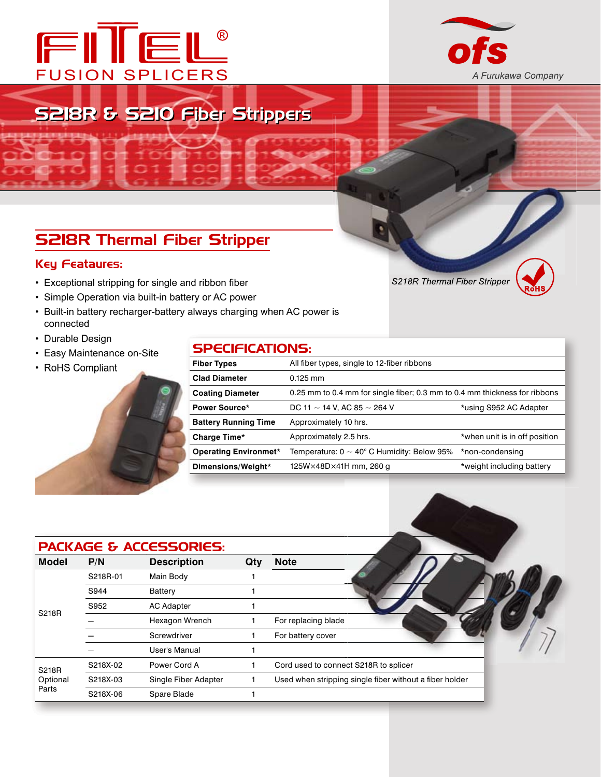



**RoHS**

# S218R & S210 Fiber Strippers

# S218R Thermal Fiber Stripper

## Key Feataures:

- Exceptional stripping for single and ribbon fiber
- Simple Operation via built-in battery or AC power
- Built-in battery recharger-battery always charging when AC power is connected
- Durable Design
- Easy Maintenance on-Site
- RoHS Compliant



## SPECIFICATIONS:

| <b>SPELIFILAHUNS:</b>                                                                |                                                                            |                               |  |  |  |
|--------------------------------------------------------------------------------------|----------------------------------------------------------------------------|-------------------------------|--|--|--|
| <b>Fiber Types</b>                                                                   | All fiber types, single to 12-fiber ribbons                                |                               |  |  |  |
| <b>Clad Diameter</b>                                                                 | $0.125$ mm                                                                 |                               |  |  |  |
| <b>Coating Diameter</b>                                                              | 0.25 mm to 0.4 mm for single fiber; 0.3 mm to 0.4 mm thickness for ribbons |                               |  |  |  |
| <b>Power Source*</b>                                                                 | DC 11 $\sim$ 14 V, AC 85 $\sim$ 264 V<br>*using S952 AC Adapter            |                               |  |  |  |
| <b>Battery Running Time</b>                                                          | Approximately 10 hrs.                                                      |                               |  |  |  |
| Charge Time*                                                                         | Approximately 2.5 hrs.                                                     | *when unit is in off position |  |  |  |
| Temperature: $0 \sim 40^\circ$ C Humidity: Below 95%<br><b>Operating Environmet*</b> |                                                                            | *non-condensing               |  |  |  |
| Dimensions/Weight*                                                                   | 125W×48D×41H mm, 260 g                                                     | *weight including battery     |  |  |  |

| PACKAGE & ACCESSORIES: |                 |                    |     |                                  |  |
|------------------------|-----------------|--------------------|-----|----------------------------------|--|
| <b>Model</b>           | P/N             | <b>Description</b> | Qty | <b>Note</b>                      |  |
|                        | S218R-01        | Main Body          |     |                                  |  |
|                        | S944            | Battery            |     |                                  |  |
| S218R                  | S952            | <b>AC Adapter</b>  |     |                                  |  |
|                        |                 | Hexagon Wrench     |     | For replacing blade              |  |
|                        |                 | Screwdriver        |     | For battery cover                |  |
|                        |                 | User's Manual      |     |                                  |  |
|                        | <b>CO10V NO</b> | Dower Cord A       |     | Cord used to connect C219D to en |  |

| <b>S218R</b> | S218X-02 | Power Cord A         | Cord used to connect S218R to splicer                   |
|--------------|----------|----------------------|---------------------------------------------------------|
| Optional     | S218X-03 | Single Fiber Adapter | Used when stripping single fiber without a fiber holder |
| Parts        | S218X-06 | Spare Blade          |                                                         |

*S218R Thermal Fiber Stripper*